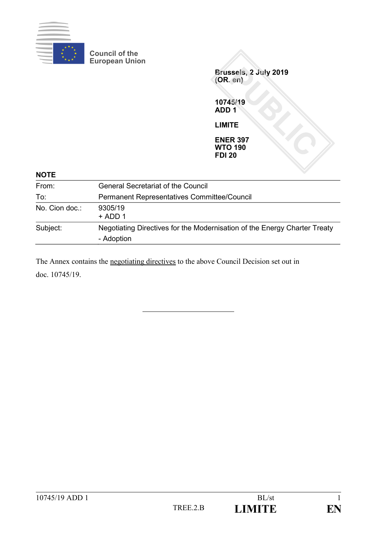

**Council of the European Union**

> **Brussels, 2 July 2019 (OR. en)**

**10745/19 ADD 1**

**LIMITE**

**ENER 397 WTO 190 FDI 20**

| <b>NOTE</b>    |                                                                                         |
|----------------|-----------------------------------------------------------------------------------------|
| From:          | <b>General Secretariat of the Council</b>                                               |
| To:            | <b>Permanent Representatives Committee/Council</b>                                      |
| No. Cion doc.: | 9305/19<br>$+$ ADD 1                                                                    |
| Subject:       | Negotiating Directives for the Modernisation of the Energy Charter Treaty<br>- Adoption |

The Annex contains the negotiating directives to the above Council Decision set out in doc. 10745/19.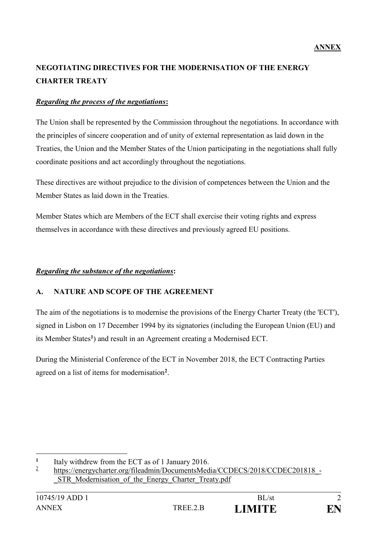# **NEGOTIATING DIRECTIVES FOR THE MODERNISATION OF THE ENERGY CHARTER TREATY**

## *Regarding the process of the negotiations***:**

The Union shall be represented by the Commission throughout the negotiations. In accordance with the principles of sincere cooperation and of unity of external representation as laid down in the Treaties, the Union and the Member States of the Union participating in the negotiations shall fully coordinate positions and act accordingly throughout the negotiations.

These directives are without prejudice to the division of competences between the Union and the Member States as laid down in the Treaties.

Member States which are Members of the ECT shall exercise their voting rights and express themselves in accordance with these directives and previously agreed EU positions.

## *Regarding the substance of the negotiations***:**

## **A. NATURE AND SCOPE OF THE AGREEMENT**

The aim of the negotiations is to modernise the provisions of the Energy Charter Treaty (the 'ECT'), signed in Lisbon on 17 December 1994 by its signatories (including the European Union (EU) and its Member States**<sup>1</sup>** ) and result in an Agreement creating a Modernised ECT.

During the Ministerial Conference of the ECT in November 2018, the ECT Contracting Parties agreed on a list of items for modernisation**<sup>2</sup>** .

<u>.</u>



**<sup>1</sup>** Italy withdrew from the ECT as of 1 January 2016.

<sup>2</sup> [https://energycharter.org/fileadmin/DocumentsMedia/CCDECS/2018/CCDEC201818\\_-](https://energycharter.org/fileadmin/DocumentsMedia/CCDECS/2018/CCDEC201818_-_STR_Modernisation_of_the_Energy_Charter_Treaty.pdf) STR Modernisation of the Energy Charter Treaty.pdf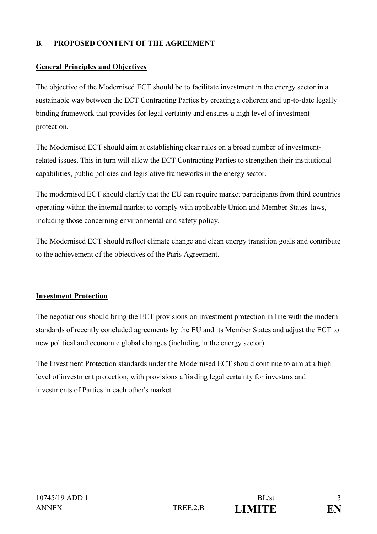# **B. PROPOSED CONTENT OF THE AGREEMENT**

## **General Principles and Objectives**

The objective of the Modernised ECT should be to facilitate investment in the energy sector in a sustainable way between the ECT Contracting Parties by creating a coherent and up-to-date legally binding framework that provides for legal certainty and ensures a high level of investment protection.

The Modernised ECT should aim at establishing clear rules on a broad number of investmentrelated issues. This in turn will allow the ECT Contracting Parties to strengthen their institutional capabilities, public policies and legislative frameworks in the energy sector.

The modernised ECT should clarify that the EU can require market participants from third countries operating within the internal market to comply with applicable Union and Member States' laws, including those concerning environmental and safety policy.

The Modernised ECT should reflect climate change and clean energy transition goals and contribute to the achievement of the objectives of the Paris Agreement.

## **Investment Protection**

The negotiations should bring the ECT provisions on investment protection in line with the modern standards of recently concluded agreements by the EU and its Member States and adjust the ECT to new political and economic global changes (including in the energy sector).

The Investment Protection standards under the Modernised ECT should continue to aim at a high level of investment protection, with provisions affording legal certainty for investors and investments of Parties in each other's market.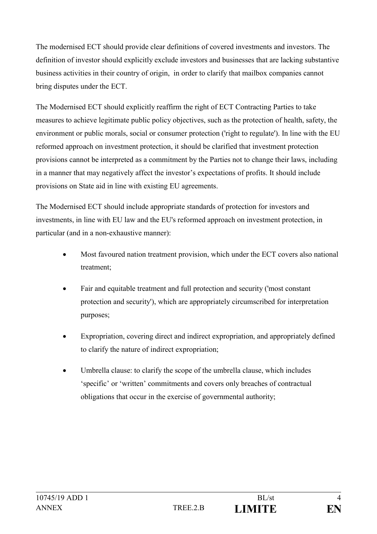The modernised ECT should provide clear definitions of covered investments and investors. The definition of investor should explicitly exclude investors and businesses that are lacking substantive business activities in their country of origin, in order to clarify that mailbox companies cannot bring disputes under the ECT.

The Modernised ECT should explicitly reaffirm the right of ECT Contracting Parties to take measures to achieve legitimate public policy objectives, such as the protection of health, safety, the environment or public morals, social or consumer protection ('right to regulate'). In line with the EU reformed approach on investment protection, it should be clarified that investment protection provisions cannot be interpreted as a commitment by the Parties not to change their laws, including in a manner that may negatively affect the investor's expectations of profits. It should include provisions on State aid in line with existing EU agreements.

The Modernised ECT should include appropriate standards of protection for investors and investments, in line with EU law and the EU's reformed approach on investment protection, in particular (and in a non-exhaustive manner):

- Most favoured nation treatment provision, which under the ECT covers also national treatment;
- Fair and equitable treatment and full protection and security ('most constant protection and security'), which are appropriately circumscribed for interpretation purposes;
- Expropriation, covering direct and indirect expropriation, and appropriately defined to clarify the nature of indirect expropriation;
- Umbrella clause: to clarify the scope of the umbrella clause, which includes 'specific' or 'written' commitments and covers only breaches of contractual obligations that occur in the exercise of governmental authority;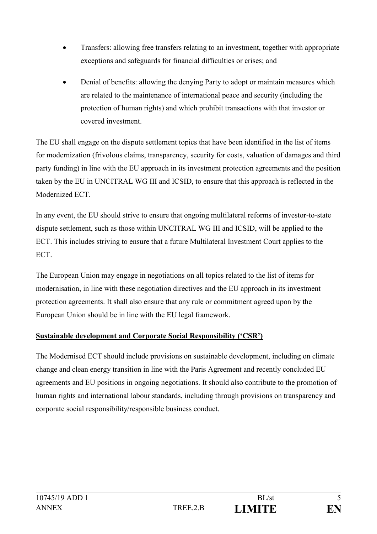- Transfers: allowing free transfers relating to an investment, together with appropriate exceptions and safeguards for financial difficulties or crises; and
- Denial of benefits: allowing the denying Party to adopt or maintain measures which are related to the maintenance of international peace and security (including the protection of human rights) and which prohibit transactions with that investor or covered investment.

The EU shall engage on the dispute settlement topics that have been identified in the list of items for modernization (frivolous claims, transparency, security for costs, valuation of damages and third party funding) in line with the EU approach in its investment protection agreements and the position taken by the EU in UNCITRAL WG III and ICSID, to ensure that this approach is reflected in the Modernized ECT.

In any event, the EU should strive to ensure that ongoing multilateral reforms of investor-to-state dispute settlement, such as those within UNCITRAL WG III and ICSID, will be applied to the ECT. This includes striving to ensure that a future Multilateral Investment Court applies to the **ECT.** 

The European Union may engage in negotiations on all topics related to the list of items for modernisation, in line with these negotiation directives and the EU approach in its investment protection agreements. It shall also ensure that any rule or commitment agreed upon by the European Union should be in line with the EU legal framework.

# **Sustainable development and Corporate Social Responsibility ('CSR')**

The Modernised ECT should include provisions on sustainable development, including on climate change and clean energy transition in line with the Paris Agreement and recently concluded EU agreements and EU positions in ongoing negotiations. It should also contribute to the promotion of human rights and international labour standards, including through provisions on transparency and corporate social responsibility/responsible business conduct.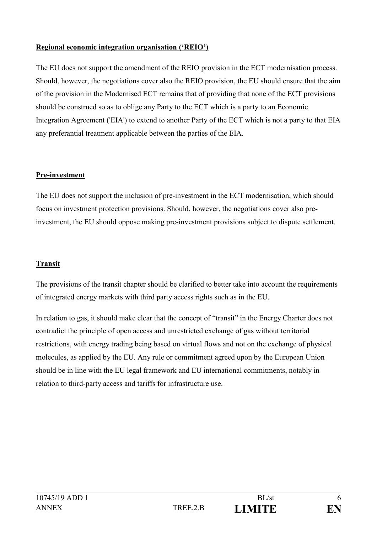# **Regional economic integration organisation ('REIO')**

The EU does not support the amendment of the REIO provision in the ECT modernisation process. Should, however, the negotiations cover also the REIO provision, the EU should ensure that the aim of the provision in the Modernised ECT remains that of providing that none of the ECT provisions should be construed so as to oblige any Party to the ECT which is a party to an Economic Integration Agreement ('EIA') to extend to another Party of the ECT which is not a party to that EIA any preferantial treatment applicable between the parties of the EIA.

## **Pre-investment**

The EU does not support the inclusion of pre-investment in the ECT modernisation, which should focus on investment protection provisions. Should, however, the negotiations cover also preinvestment, the EU should oppose making pre-investment provisions subject to dispute settlement.

## **Transit**

The provisions of the transit chapter should be clarified to better take into account the requirements of integrated energy markets with third party access rights such as in the EU.

In relation to gas, it should make clear that the concept of "transit" in the Energy Charter does not contradict the principle of open access and unrestricted exchange of gas without territorial restrictions, with energy trading being based on virtual flows and not on the exchange of physical molecules, as applied by the EU. Any rule or commitment agreed upon by the European Union should be in line with the EU legal framework and EU international commitments, notably in relation to third-party access and tariffs for infrastructure use.